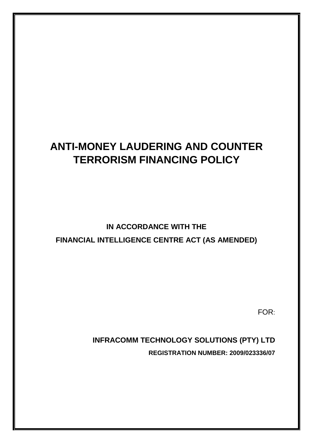# **ANTI-MONEY LAUDERING AND COUNTER TERRORISM FINANCING POLICY**

# **IN ACCORDANCE WITH THE FINANCIAL INTELLIGENCE CENTRE ACT (AS AMENDED)**

FOR: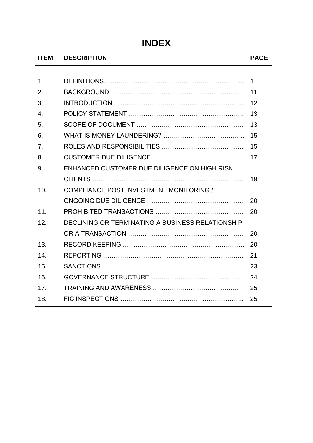# **INDEX**

| <b>DESCRIPTION</b>                               | <b>PAGE</b> |
|--------------------------------------------------|-------------|
|                                                  |             |
|                                                  | 1           |
|                                                  | 11          |
|                                                  | 12          |
|                                                  | 13          |
|                                                  | 13          |
|                                                  | 15          |
|                                                  | 15          |
|                                                  | 17          |
| ENHANCED CUSTOMER DUE DILIGENCE ON HIGH RISK     |             |
|                                                  | 19          |
| COMPLIANCE POST INVESTMENT MONITORING /          |             |
|                                                  | 20          |
|                                                  | 20          |
| DECLINING OR TERMINATING A BUSINESS RELATIONSHIP |             |
|                                                  | 20          |
|                                                  | 20          |
|                                                  | 21          |
|                                                  | 23          |
|                                                  | 24          |
|                                                  | 25          |
|                                                  | 25          |
|                                                  |             |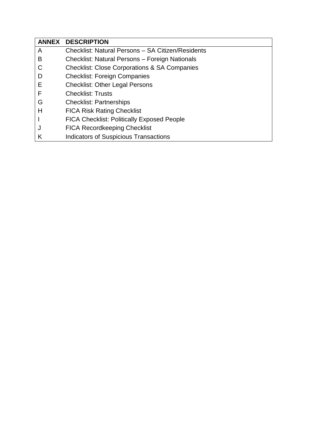|   | <b>ANNEX DESCRIPTION</b>                                |
|---|---------------------------------------------------------|
| A | Checklist: Natural Persons - SA Citizen/Residents       |
| В | Checklist: Natural Persons - Foreign Nationals          |
| C | <b>Checklist: Close Corporations &amp; SA Companies</b> |
| D | <b>Checklist: Foreign Companies</b>                     |
| Е | <b>Checklist: Other Legal Persons</b>                   |
| F | <b>Checklist: Trusts</b>                                |
| G | <b>Checklist: Partnerships</b>                          |
| н | <b>FICA Risk Rating Checklist</b>                       |
|   | <b>FICA Checklist: Politically Exposed People</b>       |
| J | <b>FICA Recordkeeping Checklist</b>                     |
| Κ | <b>Indicators of Suspicious Transactions</b>            |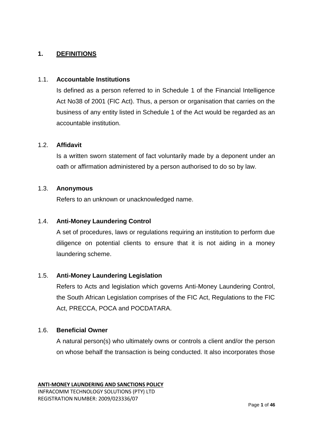## **1. DEFINITIONS**

#### 1.1. **Accountable Institutions**

Is defined as a person referred to in Schedule 1 of the Financial Intelligence Act No38 of 2001 (FIC Act). Thus, a person or organisation that carries on the business of any entity listed in Schedule 1 of the Act would be regarded as an accountable institution.

#### 1.2. **Affidavit**

Is a written sworn statement of fact voluntarily made by a deponent under an oath or affirmation administered by a person authorised to do so by law.

#### 1.3. **Anonymous**

Refers to an unknown or unacknowledged name.

## 1.4. **Anti-Money Laundering Control**

A set of procedures, laws or regulations requiring an institution to perform due diligence on potential clients to ensure that it is not aiding in a money laundering scheme.

#### 1.5. **Anti-Money Laundering Legislation**

Refers to Acts and legislation which governs Anti-Money Laundering Control, the South African Legislation comprises of the FIC Act, Regulations to the FIC Act, PRECCA, POCA and POCDATARA.

#### 1.6. **Beneficial Owner**

A natural person(s) who ultimately owns or controls a client and/or the person on whose behalf the transaction is being conducted. It also incorporates those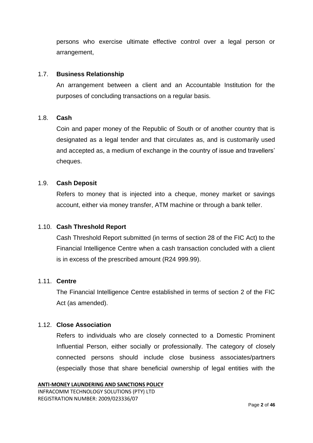persons who exercise ultimate effective control over a legal person or arrangement,

#### 1.7. **Business Relationship**

An arrangement between a client and an Accountable Institution for the purposes of concluding transactions on a regular basis.

#### 1.8. **Cash**

Coin and paper money of the Republic of South or of another country that is designated as a legal tender and that circulates as, and is customarily used and accepted as, a medium of exchange in the country of issue and travellers' cheques.

#### 1.9. **Cash Deposit**

Refers to money that is injected into a cheque, money market or savings account, either via money transfer, ATM machine or through a bank teller.

#### 1.10. **Cash Threshold Report**

Cash Threshold Report submitted (in terms of section 28 of the FIC Act) to the Financial Intelligence Centre when a cash transaction concluded with a client is in excess of the prescribed amount (R24 999.99).

#### 1.11. **Centre**

The Financial Intelligence Centre established in terms of section 2 of the FIC Act (as amended).

#### 1.12. **Close Association**

Refers to individuals who are closely connected to a Domestic Prominent Influential Person, either socially or professionally. The category of closely connected persons should include close business associates/partners (especially those that share beneficial ownership of legal entities with the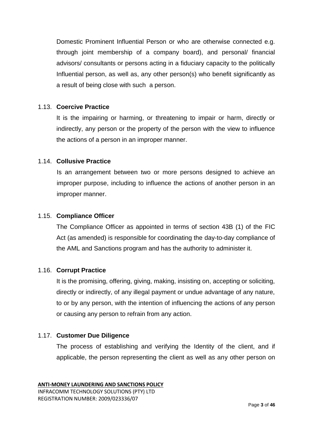Domestic Prominent Influential Person or who are otherwise connected e.g. through joint membership of a company board), and personal/ financial advisors/ consultants or persons acting in a fiduciary capacity to the politically Influential person, as well as, any other person(s) who benefit significantly as a result of being close with such a person.

#### 1.13. **Coercive Practice**

It is the impairing or harming, or threatening to impair or harm, directly or indirectly, any person or the property of the person with the view to influence the actions of a person in an improper manner.

#### 1.14. **Collusive Practice**

Is an arrangement between two or more persons designed to achieve an improper purpose, including to influence the actions of another person in an improper manner.

#### 1.15. **Compliance Officer**

The Compliance Officer as appointed in terms of section 43B (1) of the FIC Act (as amended) is responsible for coordinating the day-to-day compliance of the AML and Sanctions program and has the authority to administer it.

#### 1.16. **Corrupt Practice**

It is the promising, offering, giving, making, insisting on, accepting or soliciting, directly or indirectly, of any illegal payment or undue advantage of any nature, to or by any person, with the intention of influencing the actions of any person or causing any person to refrain from any action.

#### 1.17. **Customer Due Diligence**

The process of establishing and verifying the Identity of the client, and if applicable, the person representing the client as well as any other person on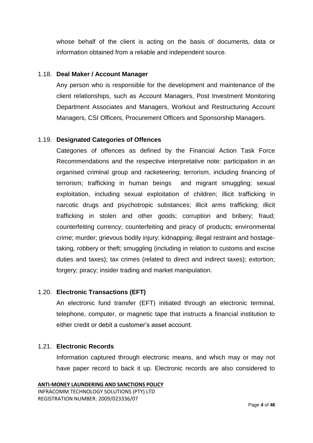whose behalf of the client is acting on the basis of documents, data or information obtained from a reliable and independent source.

#### 1.18. **Deal Maker / Account Manager**

Any person who is responsible for the development and maintenance of the client relationships, such as Account Managers, Post Investment Monitoring Department Associates and Managers, Workout and Restructuring Account Managers, CSI Officers, Procurement Officers and Sponsorship Managers.

## 1.19. **Designated Categories of Offences**

Categories of offences as defined by the Financial Action Task Force Recommendations and the respective interpretative note: participation in an organised criminal group and racketeering; terrorism, including financing of terrorism; trafficking in human beings and migrant smuggling; sexual exploitation, including sexual exploitation of children; illicit trafficking in narcotic drugs and psychotropic substances; illicit arms trafficking; illicit trafficking in stolen and other goods; corruption and bribery; fraud; counterfeiting currency; counterfeiting and piracy of products; environmental crime; murder; grievous bodily injury; kidnapping; illegal restraint and hostagetaking, robbery or theft; smuggling (including in relation to customs and excise duties and taxes); tax crimes (related to direct and indirect taxes); extortion; forgery; piracy; insider trading and market manipulation.

#### 1.20. **Electronic Transactions (EFT)**

An electronic fund transfer (EFT) initiated through an electronic terminal, telephone, computer, or magnetic tape that instructs a financial institution to either credit or debit a customer's asset account.

## 1.21. **Electronic Records**

Information captured through electronic means, and which may or may not have paper record to back it up. Electronic records are also considered to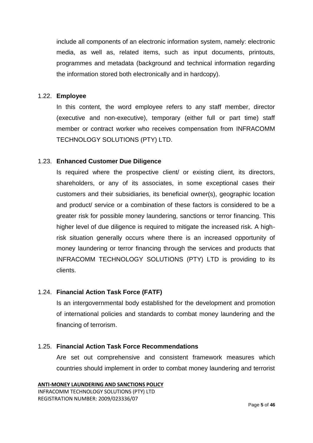include all components of an electronic information system, namely: electronic media, as well as, related items, such as input documents, printouts, programmes and metadata (background and technical information regarding the information stored both electronically and in hardcopy).

#### 1.22. **Employee**

In this content, the word employee refers to any staff member, director (executive and non-executive), temporary (either full or part time) staff member or contract worker who receives compensation from INFRACOMM TECHNOLOGY SOLUTIONS (PTY) LTD.

#### 1.23. **Enhanced Customer Due Diligence**

Is required where the prospective client/ or existing client, its directors, shareholders, or any of its associates, in some exceptional cases their customers and their subsidiaries, its beneficial owner(s), geographic location and product/ service or a combination of these factors is considered to be a greater risk for possible money laundering, sanctions or terror financing. This higher level of due diligence is required to mitigate the increased risk. A highrisk situation generally occurs where there is an increased opportunity of money laundering or terror financing through the services and products that INFRACOMM TECHNOLOGY SOLUTIONS (PTY) LTD is providing to its clients.

#### 1.24. **Financial Action Task Force (FATF)**

Is an intergovernmental body established for the development and promotion of international policies and standards to combat money laundering and the financing of terrorism.

#### 1.25. **Financial Action Task Force Recommendations**

Are set out comprehensive and consistent framework measures which countries should implement in order to combat money laundering and terrorist

```
ANTI-MONEY LAUNDERING AND SANCTIONS POLICY
INFRACOMM TECHNOLOGY SOLUTIONS (PTY) LTD
REGISTRATION NUMBER: 2009/023336/07
```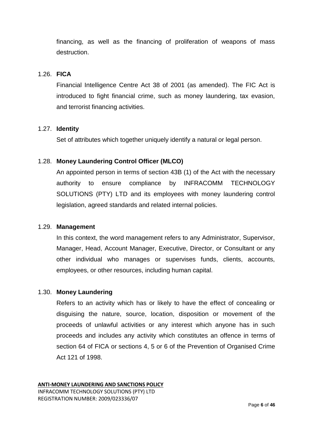financing, as well as the financing of proliferation of weapons of mass destruction.

#### 1.26. **FICA**

Financial Intelligence Centre Act 38 of 2001 (as amended). The FIC Act is introduced to fight financial crime, such as money laundering, tax evasion, and terrorist financing activities.

#### 1.27. **Identity**

Set of attributes which together uniquely identify a natural or legal person.

#### 1.28. **Money Laundering Control Officer (MLCO)**

An appointed person in terms of section 43B (1) of the Act with the necessary authority to ensure compliance by INFRACOMM TECHNOLOGY SOLUTIONS (PTY) LTD and its employees with money laundering control legislation, agreed standards and related internal policies.

#### 1.29. **Management**

In this context, the word management refers to any Administrator, Supervisor, Manager, Head, Account Manager, Executive, Director, or Consultant or any other individual who manages or supervises funds, clients, accounts, employees, or other resources, including human capital.

#### 1.30. **Money Laundering**

Refers to an activity which has or likely to have the effect of concealing or disguising the nature, source, location, disposition or movement of the proceeds of unlawful activities or any interest which anyone has in such proceeds and includes any activity which constitutes an offence in terms of section 64 of FICA or sections 4, 5 or 6 of the Prevention of Organised Crime Act 121 of 1998.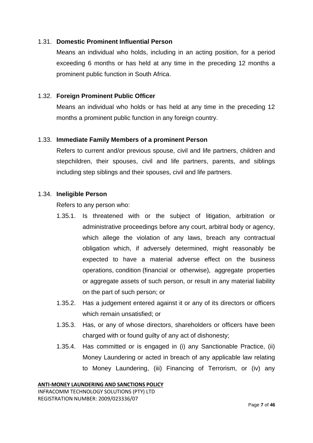#### 1.31. **Domestic Prominent Influential Person**

Means an individual who holds, including in an acting position, for a period exceeding 6 months or has held at any time in the preceding 12 months a prominent public function in South Africa.

## 1.32. **Foreign Prominent Public Officer**

Means an individual who holds or has held at any time in the preceding 12 months a prominent public function in any foreign country.

#### 1.33. **Immediate Family Members of a prominent Person**

Refers to current and/or previous spouse, civil and life partners, children and stepchildren, their spouses, civil and life partners, parents, and siblings including step siblings and their spouses, civil and life partners.

#### 1.34. **Ineligible Person**

Refers to any person who:

- 1.35.1. Is threatened with or the subject of litigation, arbitration or administrative proceedings before any court, arbitral body or agency, which allege the violation of any laws, breach any contractual obligation which, if adversely determined, might reasonably be expected to have a material adverse effect on the business operations, condition (financial or otherwise), aggregate properties or aggregate assets of such person, or result in any material liability on the part of such person; or
- 1.35.2. Has a judgement entered against it or any of its directors or officers which remain unsatisfied; or
- 1.35.3. Has, or any of whose directors, shareholders or officers have been charged with or found guilty of any act of dishonesty;
- 1.35.4. Has committed or is engaged in (i) any Sanctionable Practice, (ii) Money Laundering or acted in breach of any applicable law relating to Money Laundering, (iii) Financing of Terrorism, or (iv) any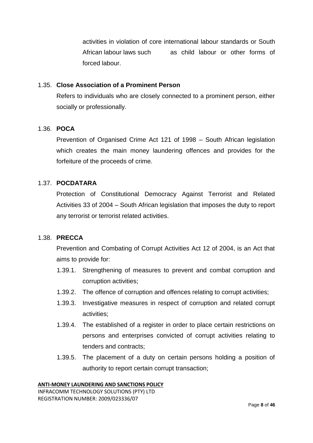activities in violation of core international labour standards or South African labour laws such as child labour or other forms of forced labour.

#### 1.35. **Close Association of a Prominent Person**

Refers to individuals who are closely connected to a prominent person, either socially or professionally.

#### 1.36. **POCA**

Prevention of Organised Crime Act 121 of 1998 – South African legislation which creates the main money laundering offences and provides for the forfeiture of the proceeds of crime.

### 1.37. **POCDATARA**

Protection of Constitutional Democracy Against Terrorist and Related Activities 33 of 2004 – South African legislation that imposes the duty to report any terrorist or terrorist related activities.

#### 1.38. **PRECCA**

Prevention and Combating of Corrupt Activities Act 12 of 2004, is an Act that aims to provide for:

- 1.39.1. Strengthening of measures to prevent and combat corruption and corruption activities;
- 1.39.2. The offence of corruption and offences relating to corrupt activities;
- 1.39.3. Investigative measures in respect of corruption and related corrupt activities;
- 1.39.4. The established of a register in order to place certain restrictions on persons and enterprises convicted of corrupt activities relating to tenders and contracts;
- 1.39.5. The placement of a duty on certain persons holding a position of authority to report certain corrupt transaction;

#### **ANTI-MONEY LAUNDERING AND SANCTIONS POLICY**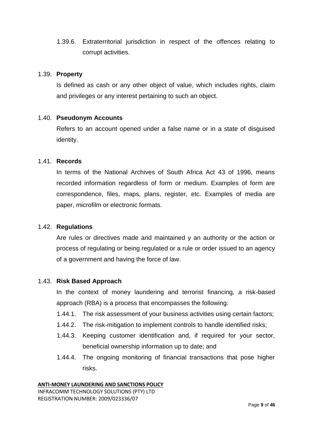1.39.6. Extraterritorial jurisdiction in respect of the offences relating to corrupt activities.

#### 1.39. **Property**

Is defined as cash or any other object of value, which includes rights, claim and privileges or any interest pertaining to such an object.

#### 1.40. **Pseudonym Accounts**

Refers to an account opened under a false name or in a state of disguised identity.

#### 1.41. **Records**

In terms of the National Archives of South Africa Act 43 of 1996, means recorded information regardless of form or medium. Examples of form are correspondence, files, maps, plans, register, etc. Examples of media are paper, microfilm or electronic formats.

#### 1.42. **Regulations**

Are rules or directives made and maintained y an authority or the action or process of regulating or being regulated or a rule or order issued to an agency of a government and having the force of law.

#### 1.43. **Risk Based Approach**

In the context of money laundering and terrorist financing, a risk-based approach (RBA) is a process that encompasses the following:

- 1.44.1. The risk assessment of your business activities using certain factors;
- 1.44.2. The risk-mitigation to implement controls to handle identified risks;
- 1.44.3. Keeping customer identification and, if required for your sector, beneficial ownership information up to date; and
- 1.44.4. The ongoing monitoring of financial transactions that pose higher risks.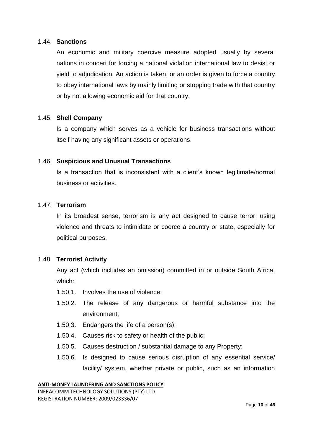#### 1.44. **Sanctions**

An economic and military coercive measure adopted usually by several nations in concert for forcing a national violation international law to desist or yield to adjudication. An action is taken, or an order is given to force a country to obey international laws by mainly limiting or stopping trade with that country or by not allowing economic aid for that country.

#### 1.45. **Shell Company**

Is a company which serves as a vehicle for business transactions without itself having any significant assets or operations.

#### 1.46. **Suspicious and Unusual Transactions**

Is a transaction that is inconsistent with a client's known legitimate/normal business or activities.

#### 1.47. **Terrorism**

In its broadest sense, terrorism is any act designed to cause terror, using violence and threats to intimidate or coerce a country or state, especially for political purposes.

#### 1.48. **Terrorist Activity**

Any act (which includes an omission) committed in or outside South Africa, which:

- 1.50.1. Involves the use of violence;
- 1.50.2. The release of any dangerous or harmful substance into the environment;
- 1.50.3. Endangers the life of a person(s);
- 1.50.4. Causes risk to safety or health of the public;
- 1.50.5. Causes destruction / substantial damage to any Property;
- 1.50.6. Is designed to cause serious disruption of any essential service/ facility/ system, whether private or public, such as an information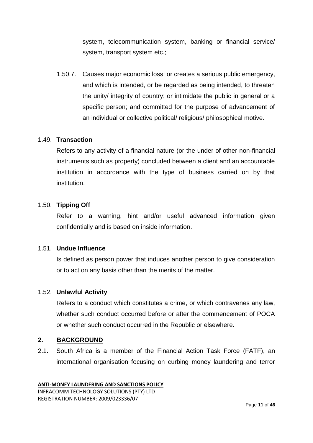system, telecommunication system, banking or financial service/ system, transport system etc.;

1.50.7. Causes major economic loss; or creates a serious public emergency, and which is intended, or be regarded as being intended, to threaten the unity/ integrity of country; or intimidate the public in general or a specific person; and committed for the purpose of advancement of an individual or collective political/ religious/ philosophical motive.

#### 1.49. **Transaction**

Refers to any activity of a financial nature (or the under of other non-financial instruments such as property) concluded between a client and an accountable institution in accordance with the type of business carried on by that institution.

## 1.50. **Tipping Off**

Refer to a warning, hint and/or useful advanced information given confidentially and is based on inside information.

#### 1.51. **Undue Influence**

Is defined as person power that induces another person to give consideration or to act on any basis other than the merits of the matter.

#### 1.52. **Unlawful Activity**

Refers to a conduct which constitutes a crime, or which contravenes any law, whether such conduct occurred before or after the commencement of POCA or whether such conduct occurred in the Republic or elsewhere.

#### **2. BACKGROUND**

2.1. South Africa is a member of the Financial Action Task Force (FATF), an international organisation focusing on curbing money laundering and terror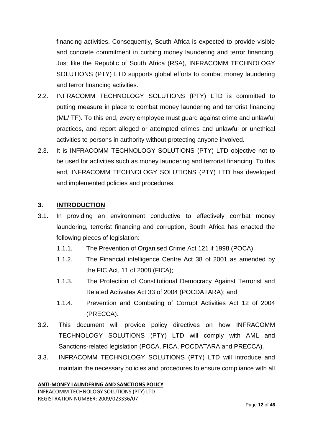financing activities. Consequently, South Africa is expected to provide visible and concrete commitment in curbing money laundering and terror financing. Just like the Republic of South Africa (RSA), INFRACOMM TECHNOLOGY SOLUTIONS (PTY) LTD supports global efforts to combat money laundering and terror financing activities.

- 2.2. INFRACOMM TECHNOLOGY SOLUTIONS (PTY) LTD is committed to putting measure in place to combat money laundering and terrorist financing (ML/ TF). To this end, every employee must guard against crime and unlawful practices, and report alleged or attempted crimes and unlawful or unethical activities to persons in authority without protecting anyone involved.
- 2.3. It is INFRACOMM TECHNOLOGY SOLUTIONS (PTY) LTD objective not to be used for activities such as money laundering and terrorist financing. To this end, INFRACOMM TECHNOLOGY SOLUTIONS (PTY) LTD has developed and implemented policies and procedures.

## **3.** I**NTRODUCTION**

- 3.1. In providing an environment conductive to effectively combat money laundering, terrorist financing and corruption, South Africa has enacted the following pieces of legislation:
	- 1.1.1. The Prevention of Organised Crime Act 121 if 1998 (POCA);
	- 1.1.2. The Financial intelligence Centre Act 38 of 2001 as amended by the FIC Act, 11 of 2008 (FICA);
	- 1.1.3. The Protection of Constitutional Democracy Against Terrorist and Related Activates Act 33 of 2004 (POCDATARA); and
	- 1.1.4. Prevention and Combating of Corrupt Activities Act 12 of 2004 (PRECCA).
- 3.2. This document will provide policy directives on how INFRACOMM TECHNOLOGY SOLUTIONS (PTY) LTD will comply with AML and Sanctions-related legislation (POCA, FICA, POCDATARA and PRECCA).
- 3.3. INFRACOMM TECHNOLOGY SOLUTIONS (PTY) LTD will introduce and maintain the necessary policies and procedures to ensure compliance with all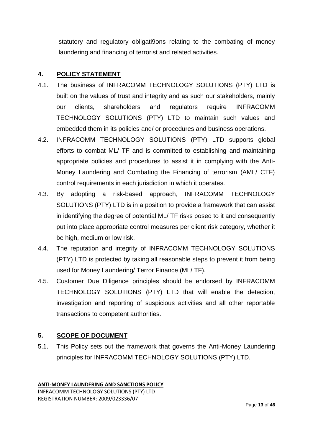statutory and regulatory obligati9ons relating to the combating of money laundering and financing of terrorist and related activities.

## **4. POLICY STATEMENT**

- 4.1. The business of INFRACOMM TECHNOLOGY SOLUTIONS (PTY) LTD is built on the values of trust and integrity and as such our stakeholders, mainly our clients, shareholders and regulators require INFRACOMM TECHNOLOGY SOLUTIONS (PTY) LTD to maintain such values and embedded them in its policies and/ or procedures and business operations.
- 4.2. INFRACOMM TECHNOLOGY SOLUTIONS (PTY) LTD supports global efforts to combat ML/ TF and is committed to establishing and maintaining appropriate policies and procedures to assist it in complying with the Anti-Money Laundering and Combating the Financing of terrorism (AML/ CTF) control requirements in each jurisdiction in which it operates.
- 4.3. By adopting a risk-based approach, INFRACOMM TECHNOLOGY SOLUTIONS (PTY) LTD is in a position to provide a framework that can assist in identifying the degree of potential ML/ TF risks posed to it and consequently put into place appropriate control measures per client risk category, whether it be high, medium or low risk.
- 4.4. The reputation and integrity of INFRACOMM TECHNOLOGY SOLUTIONS (PTY) LTD is protected by taking all reasonable steps to prevent it from being used for Money Laundering/ Terror Finance (ML/ TF).
- 4.5. Customer Due Diligence principles should be endorsed by INFRACOMM TECHNOLOGY SOLUTIONS (PTY) LTD that will enable the detection, investigation and reporting of suspicious activities and all other reportable transactions to competent authorities.

## **5. SCOPE OF DOCUMENT**

5.1. This Policy sets out the framework that governs the Anti-Money Laundering principles for INFRACOMM TECHNOLOGY SOLUTIONS (PTY) LTD.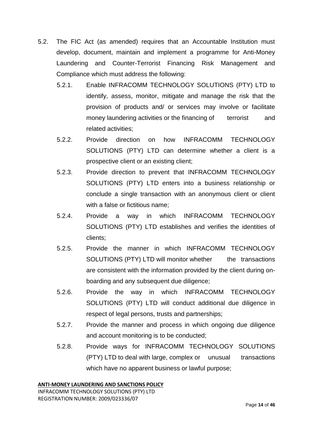- 5.2. The FIC Act (as amended) requires that an Accountable Institution must develop, document, maintain and implement a programme for Anti-Money Laundering and Counter-Terrorist Financing Risk Management and Compliance which must address the following:
	- 5.2.1. Enable INFRACOMM TECHNOLOGY SOLUTIONS (PTY) LTD to identify, assess, monitor, mitigate and manage the risk that the provision of products and/ or services may involve or facilitate money laundering activities or the financing of terrorist and related activities;
	- 5.2.2. Provide direction on how INFRACOMM TECHNOLOGY SOLUTIONS (PTY) LTD can determine whether a client is a prospective client or an existing client;
	- 5.2.3. Provide direction to prevent that INFRACOMM TECHNOLOGY SOLUTIONS (PTY) LTD enters into a business relationship or conclude a single transaction with an anonymous client or client with a false or fictitious name;
	- 5.2.4. Provide a way in which INFRACOMM TECHNOLOGY SOLUTIONS (PTY) LTD establishes and verifies the identities of clients;
	- 5.2.5. Provide the manner in which INFRACOMM TECHNOLOGY SOLUTIONS (PTY) LTD will monitor whether the transactions are consistent with the information provided by the client during onboarding and any subsequent due diligence;
	- 5.2.6. Provide the way in which INFRACOMM TECHNOLOGY SOLUTIONS (PTY) LTD will conduct additional due diligence in respect of legal persons, trusts and partnerships;
	- 5.2.7. Provide the manner and process in which ongoing due diligence and account monitoring is to be conducted;
	- 5.2.8. Provide ways for INFRACOMM TECHNOLOGY SOLUTIONS (PTY) LTD to deal with large, complex or unusual transactions which have no apparent business or lawful purpose;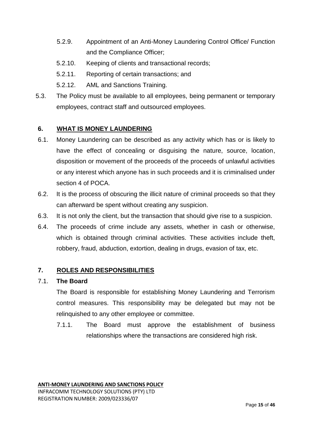- 5.2.9. Appointment of an Anti-Money Laundering Control Office/ Function and the Compliance Officer;
- 5.2.10. Keeping of clients and transactional records;
- 5.2.11. Reporting of certain transactions; and
- 5.2.12. AML and Sanctions Training.
- 5.3. The Policy must be available to all employees, being permanent or temporary employees, contract staff and outsourced employees.

## **6. WHAT IS MONEY LAUNDERING**

- 6.1. Money Laundering can be described as any activity which has or is likely to have the effect of concealing or disguising the nature, source, location, disposition or movement of the proceeds of the proceeds of unlawful activities or any interest which anyone has in such proceeds and it is criminalised under section 4 of POCA.
- 6.2. It is the process of obscuring the illicit nature of criminal proceeds so that they can afterward be spent without creating any suspicion.
- 6.3. It is not only the client, but the transaction that should give rise to a suspicion.
- 6.4. The proceeds of crime include any assets, whether in cash or otherwise, which is obtained through criminal activities. These activities include theft, robbery, fraud, abduction, extortion, dealing in drugs, evasion of tax, etc.

## **7. ROLES AND RESPONSIBILITIES**

#### 7.1. **The Board**

The Board is responsible for establishing Money Laundering and Terrorism control measures. This responsibility may be delegated but may not be relinquished to any other employee or committee.

7.1.1. The Board must approve the establishment of business relationships where the transactions are considered high risk.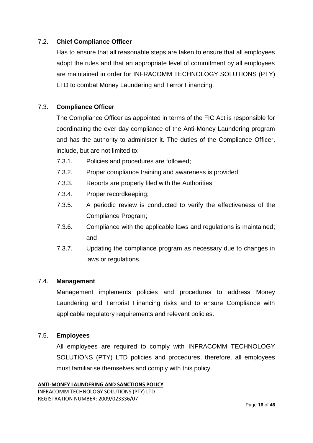## 7.2. **Chief Compliance Officer**

Has to ensure that all reasonable steps are taken to ensure that all employees adopt the rules and that an appropriate level of commitment by all employees are maintained in order for INFRACOMM TECHNOLOGY SOLUTIONS (PTY) LTD to combat Money Laundering and Terror Financing.

## 7.3. **Compliance Officer**

The Compliance Officer as appointed in terms of the FIC Act is responsible for coordinating the ever day compliance of the Anti-Money Laundering program and has the authority to administer it. The duties of the Compliance Officer, include, but are not limited to:

- 7.3.1. Policies and procedures are followed;
- 7.3.2. Proper compliance training and awareness is provided;
- 7.3.3. Reports are properly filed with the Authorities;
- 7.3.4. Proper recordkeeping;
- 7.3.5. A periodic review is conducted to verify the effectiveness of the Compliance Program;
- 7.3.6. Compliance with the applicable laws and regulations is maintained; and
- 7.3.7. Updating the compliance program as necessary due to changes in laws or regulations.

#### 7.4. **Management**

Management implements policies and procedures to address Money Laundering and Terrorist Financing risks and to ensure Compliance with applicable regulatory requirements and relevant policies.

#### 7.5. **Employees**

All employees are required to comply with INFRACOMM TECHNOLOGY SOLUTIONS (PTY) LTD policies and procedures, therefore, all employees must familiarise themselves and comply with this policy.

```
ANTI-MONEY LAUNDERING AND SANCTIONS POLICY
INFRACOMM TECHNOLOGY SOLUTIONS (PTY) LTD
REGISTRATION NUMBER: 2009/023336/07
```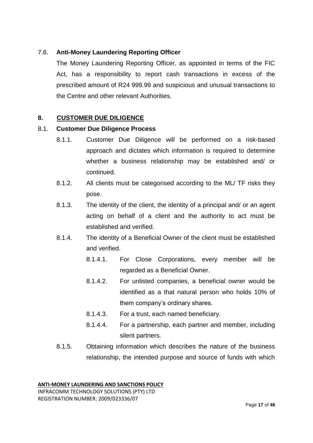## 7.6. **Anti-Money Laundering Reporting Officer**

The Money Laundering Reporting Officer, as appointed in terms of the FIC Act, has a responsibility to report cash transactions in excess of the prescribed amount of R24 999.99 and suspicious and unusual transactions to the Centre and other relevant Authorities.

## **8. CUSTOMER DUE DILIGENCE**

## 8.1. **Customer Due Diligence Process**

- 8.1.1. Customer Due Diligence will be performed on a risk-based approach and dictates which information is required to determine whether a business relationship may be established and/ or continued.
- 8.1.2. All clients must be categorised according to the ML/ TF risks they pose.
- 8.1.3. The identity of the client, the identity of a principal and/ or an agent acting on behalf of a client and the authority to act must be established and verified.
- 8.1.4. The identity of a Beneficial Owner of the client must be established and verified.
	- 8.1.4.1. For Close Corporations, every member will be regarded as a Beneficial Owner.
	- 8.1.4.2. For unlisted companies, a beneficial owner would be identified as a that natural person who holds 10% of them company's ordinary shares.
	- 8.1.4.3. For a trust, each named beneficiary.
	- 8.1.4.4. For a partnership, each partner and member, including silent partners.
- 8.1.5. Obtaining information which describes the nature of the business relationship, the intended purpose and source of funds with which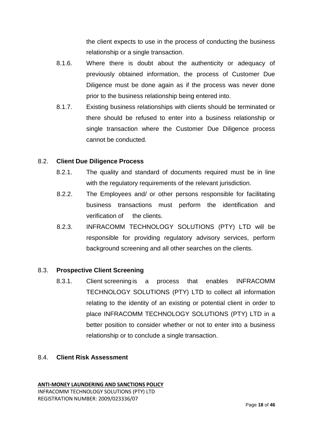the client expects to use in the process of conducting the business relationship or a single transaction.

- 8.1.6. Where there is doubt about the authenticity or adequacy of previously obtained information, the process of Customer Due Diligence must be done again as if the process was never done prior to the business relationship being entered into.
- 8.1.7. Existing business relationships with clients should be terminated or there should be refused to enter into a business relationship or single transaction where the Customer Due Diligence process cannot be conducted.

#### 8.2. **Client Due Diligence Process**

- 8.2.1. The quality and standard of documents required must be in line with the regulatory requirements of the relevant jurisdiction.
- 8.2.2. The Employees and/ or other persons responsible for facilitating business transactions must perform the identification and verification of the clients.
- 8.2.3. INFRACOMM TECHNOLOGY SOLUTIONS (PTY) LTD will be responsible for providing regulatory advisory services, perform background screening and all other searches on the clients.

#### 8.3. **Prospective Client Screening**

8.3.1. Client screening is a process that enables INFRACOMM TECHNOLOGY SOLUTIONS (PTY) LTD to collect all information relating to the identity of an existing or potential client in order to place INFRACOMM TECHNOLOGY SOLUTIONS (PTY) LTD in a better position to consider whether or not to enter into a business relationship or to conclude a single transaction.

## 8.4. **Client Risk Assessment**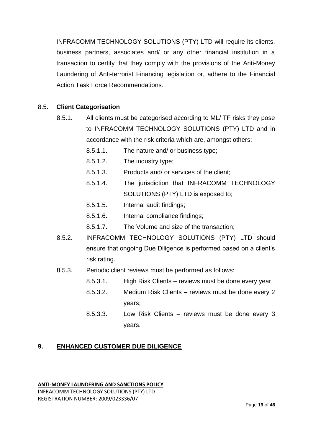INFRACOMM TECHNOLOGY SOLUTIONS (PTY) LTD will require its clients, business partners, associates and/ or any other financial institution in a transaction to certify that they comply with the provisions of the Anti-Money Laundering of Anti-terrorist Financing legislation or, adhere to the Financial Action Task Force Recommendations.

## 8.5. **Client Categorisation**

- 8.5.1. All clients must be categorised according to ML/ TF risks they pose to INFRACOMM TECHNOLOGY SOLUTIONS (PTY) LTD and in accordance with the risk criteria which are, amongst others:
	- 8.5.1.1. The nature and/ or business type;
	- 8.5.1.2. The industry type;
	- 8.5.1.3. Products and/ or services of the client;
	- 8.5.1.4. The jurisdiction that INFRACOMM TECHNOLOGY SOLUTIONS (PTY) LTD is exposed to;
	- 8.5.1.5. Internal audit findings;
	- 8.5.1.6. Internal compliance findings;
	- 8.5.1.7. The Volume and size of the transaction;
- 8.5.2. INFRACOMM TECHNOLOGY SOLUTIONS (PTY) LTD should ensure that ongoing Due Diligence is performed based on a client's risk rating.
- 8.5.3. Periodic client reviews must be performed as follows:
	- 8.5.3.1. High Risk Clients reviews must be done every year;
	- 8.5.3.2. Medium Risk Clients reviews must be done every 2 years;
	- 8.5.3.3. Low Risk Clients reviews must be done every 3 years.

## **9. ENHANCED CUSTOMER DUE DILIGENCE**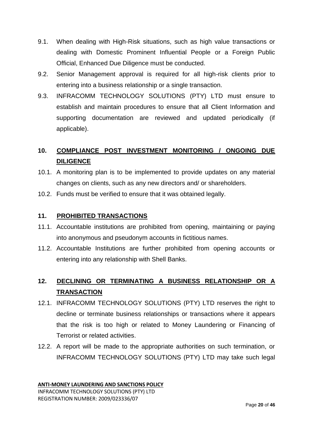- 9.1. When dealing with High-Risk situations, such as high value transactions or dealing with Domestic Prominent Influential People or a Foreign Public Official, Enhanced Due Diligence must be conducted.
- 9.2. Senior Management approval is required for all high-risk clients prior to entering into a business relationship or a single transaction.
- 9.3. INFRACOMM TECHNOLOGY SOLUTIONS (PTY) LTD must ensure to establish and maintain procedures to ensure that all Client Information and supporting documentation are reviewed and updated periodically (if applicable).

# **10. COMPLIANCE POST INVESTMENT MONITORING / ONGOING DUE DILIGENCE**

- 10.1. A monitoring plan is to be implemented to provide updates on any material changes on clients, such as any new directors and/ or shareholders.
- 10.2. Funds must be verified to ensure that it was obtained legally.

## **11. PROHIBITED TRANSACTIONS**

- 11.1. Accountable institutions are prohibited from opening, maintaining or paying into anonymous and pseudonym accounts in fictitious names.
- 11.2. Accountable Institutions are further prohibited from opening accounts or entering into any relationship with Shell Banks.

# **12. DECLINING OR TERMINATING A BUSINESS RELATIONSHIP OR A TRANSACTION**

- 12.1. INFRACOMM TECHNOLOGY SOLUTIONS (PTY) LTD reserves the right to decline or terminate business relationships or transactions where it appears that the risk is too high or related to Money Laundering or Financing of Terrorist or related activities.
- 12.2. A report will be made to the appropriate authorities on such termination, or INFRACOMM TECHNOLOGY SOLUTIONS (PTY) LTD may take such legal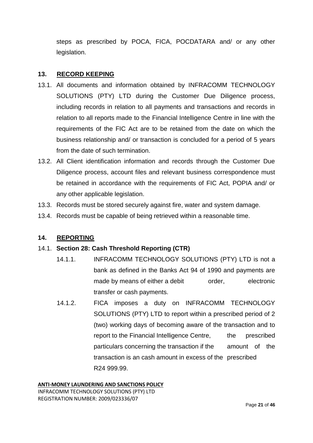steps as prescribed by POCA, FICA, POCDATARA and/ or any other legislation.

## **13. RECORD KEEPING**

- 13.1. All documents and information obtained by INFRACOMM TECHNOLOGY SOLUTIONS (PTY) LTD during the Customer Due Diligence process, including records in relation to all payments and transactions and records in relation to all reports made to the Financial Intelligence Centre in line with the requirements of the FIC Act are to be retained from the date on which the business relationship and/ or transaction is concluded for a period of 5 years from the date of such termination.
- 13.2. All Client identification information and records through the Customer Due Diligence process, account files and relevant business correspondence must be retained in accordance with the requirements of FIC Act, POPIA and/ or any other applicable legislation.
- 13.3. Records must be stored securely against fire, water and system damage.
- 13.4. Records must be capable of being retrieved within a reasonable time.

## **14. REPORTING**

## 14.1. **Section 28: Cash Threshold Reporting (CTR)**

- 14.1.1. INFRACOMM TECHNOLOGY SOLUTIONS (PTY) LTD is not a bank as defined in the Banks Act 94 of 1990 and payments are made by means of either a debit order, electronic transfer or cash payments.
- 14.1.2. FICA imposes a duty on INFRACOMM TECHNOLOGY SOLUTIONS (PTY) LTD to report within a prescribed period of 2 (two) working days of becoming aware of the transaction and to report to the Financial Intelligence Centre, the prescribed particulars concerning the transaction if the amount of the transaction is an cash amount in excess of the prescribed R24 999.99.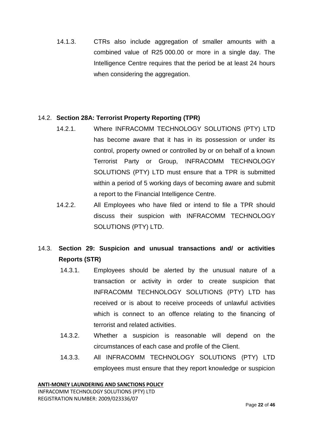14.1.3. CTRs also include aggregation of smaller amounts with a combined value of R25 000.00 or more in a single day. The Intelligence Centre requires that the period be at least 24 hours when considering the aggregation.

## 14.2. **Section 28A: Terrorist Property Reporting (TPR)**

- 14.2.1. Where INFRACOMM TECHNOLOGY SOLUTIONS (PTY) LTD has become aware that it has in its possession or under its control, property owned or controlled by or on behalf of a known Terrorist Party or Group, INFRACOMM TECHNOLOGY SOLUTIONS (PTY) LTD must ensure that a TPR is submitted within a period of 5 working days of becoming aware and submit a report to the Financial Intelligence Centre.
- 14.2.2. All Employees who have filed or intend to file a TPR should discuss their suspicion with INFRACOMM TECHNOLOGY SOLUTIONS (PTY) LTD.

# 14.3. **Section 29: Suspicion and unusual transactions and/ or activities Reports (STR)**

- 14.3.1. Employees should be alerted by the unusual nature of a transaction or activity in order to create suspicion that INFRACOMM TECHNOLOGY SOLUTIONS (PTY) LTD has received or is about to receive proceeds of unlawful activities which is connect to an offence relating to the financing of terrorist and related activities.
- 14.3.2. Whether a suspicion is reasonable will depend on the circumstances of each case and profile of the Client.
- 14.3.3. All INFRACOMM TECHNOLOGY SOLUTIONS (PTY) LTD employees must ensure that they report knowledge or suspicion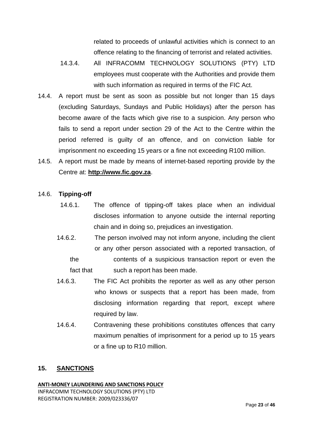related to proceeds of unlawful activities which is connect to an offence relating to the financing of terrorist and related activities.

- 14.3.4. All INFRACOMM TECHNOLOGY SOLUTIONS (PTY) LTD employees must cooperate with the Authorities and provide them with such information as required in terms of the FIC Act.
- 14.4. A report must be sent as soon as possible but not longer than 15 days (excluding Saturdays, Sundays and Public Holidays) after the person has become aware of the facts which give rise to a suspicion. Any person who fails to send a report under section 29 of the Act to the Centre within the period referred is guilty of an offence, and on conviction liable for imprisonment no exceeding 15 years or a fine not exceeding R100 million.
- 14.5. A report must be made by means of internet-based reporting provide by the Centre at: **http://www.fic.gov.za**.

#### 14.6. **Tipping-off**

- 14.6.1. The offence of tipping-off takes place when an individual discloses information to anyone outside the internal reporting chain and in doing so, prejudices an investigation.
- 14.6.2. The person involved may not inform anyone, including the client or any other person associated with a reported transaction, of
	- the contents of a suspicious transaction report or even the fact that such a report has been made.
- 14.6.3. The FIC Act prohibits the reporter as well as any other person who knows or suspects that a report has been made, from disclosing information regarding that report, except where required by law.
- 14.6.4. Contravening these prohibitions constitutes offences that carry maximum penalties of imprisonment for a period up to 15 years or a fine up to R10 million.

#### **15. SANCTIONS**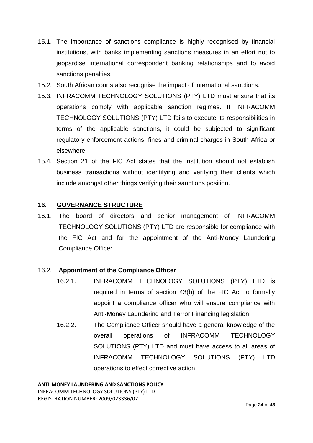- 15.1. The importance of sanctions compliance is highly recognised by financial institutions, with banks implementing sanctions measures in an effort not to jeopardise international correspondent banking relationships and to avoid sanctions penalties.
- 15.2. South African courts also recognise the impact of international sanctions.
- 15.3. INFRACOMM TECHNOLOGY SOLUTIONS (PTY) LTD must ensure that its operations comply with applicable sanction regimes. If INFRACOMM TECHNOLOGY SOLUTIONS (PTY) LTD fails to execute its responsibilities in terms of the applicable sanctions, it could be subjected to significant regulatory enforcement actions, fines and criminal charges in South Africa or elsewhere.
- 15.4. Section 21 of the FIC Act states that the institution should not establish business transactions without identifying and verifying their clients which include amongst other things verifying their sanctions position.

## **16. GOVERNANCE STRUCTURE**

16.1. The board of directors and senior management of INFRACOMM TECHNOLOGY SOLUTIONS (PTY) LTD are responsible for compliance with the FIC Act and for the appointment of the Anti-Money Laundering Compliance Officer.

#### 16.2. **Appointment of the Compliance Officer**

- 16.2.1. INFRACOMM TECHNOLOGY SOLUTIONS (PTY) LTD is required in terms of section 43(b) of the FIC Act to formally appoint a compliance officer who will ensure compliance with Anti-Money Laundering and Terror Financing legislation.
- 16.2.2. The Compliance Officer should have a general knowledge of the overall operations of INFRACOMM TECHNOLOGY SOLUTIONS (PTY) LTD and must have access to all areas of INFRACOMM TECHNOLOGY SOLUTIONS (PTY) LTD operations to effect corrective action.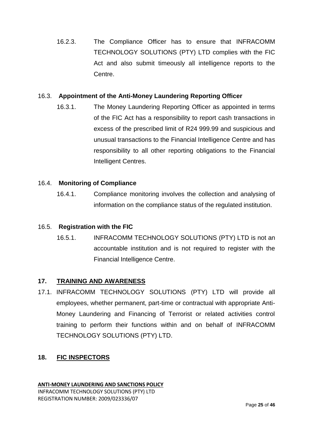16.2.3. The Compliance Officer has to ensure that INFRACOMM TECHNOLOGY SOLUTIONS (PTY) LTD complies with the FIC Act and also submit timeously all intelligence reports to the Centre.

## 16.3. **Appointment of the Anti-Money Laundering Reporting Officer**

16.3.1. The Money Laundering Reporting Officer as appointed in terms of the FIC Act has a responsibility to report cash transactions in excess of the prescribed limit of R24 999.99 and suspicious and unusual transactions to the Financial Intelligence Centre and has responsibility to all other reporting obligations to the Financial Intelligent Centres.

## 16.4. **Monitoring of Compliance**

16.4.1. Compliance monitoring involves the collection and analysing of information on the compliance status of the regulated institution.

#### 16.5. **Registration with the FIC**

16.5.1. INFRACOMM TECHNOLOGY SOLUTIONS (PTY) LTD is not an accountable institution and is not required to register with the Financial Intelligence Centre.

## **17. TRAINING AND AWARENESS**

17.1. INFRACOMM TECHNOLOGY SOLUTIONS (PTY) LTD will provide all employees, whether permanent, part-time or contractual with appropriate Anti-Money Laundering and Financing of Terrorist or related activities control training to perform their functions within and on behalf of INFRACOMM TECHNOLOGY SOLUTIONS (PTY) LTD.

## **18. FIC INSPECTORS**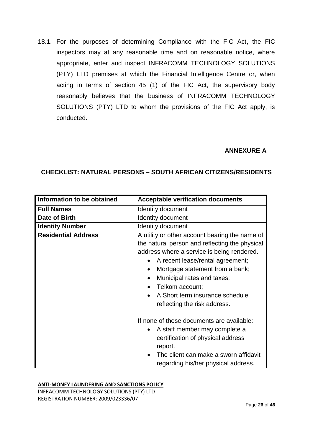18.1. For the purposes of determining Compliance with the FIC Act, the FIC inspectors may at any reasonable time and on reasonable notice, where appropriate, enter and inspect INFRACOMM TECHNOLOGY SOLUTIONS (PTY) LTD premises at which the Financial Intelligence Centre or, when acting in terms of section 45 (1) of the FIC Act, the supervisory body reasonably believes that the business of INFRACOMM TECHNOLOGY SOLUTIONS (PTY) LTD to whom the provisions of the FIC Act apply, is conducted.

## **ANNEXURE A**

## **CHECKLIST: NATURAL PERSONS – SOUTH AFRICAN CITIZENS/RESIDENTS**

| Information to be obtained | <b>Acceptable verification documents</b>                                                                                                                                                                                                                                                                                                                            |
|----------------------------|---------------------------------------------------------------------------------------------------------------------------------------------------------------------------------------------------------------------------------------------------------------------------------------------------------------------------------------------------------------------|
| <b>Full Names</b>          | <b>Identity document</b>                                                                                                                                                                                                                                                                                                                                            |
| Date of Birth              | Identity document                                                                                                                                                                                                                                                                                                                                                   |
| <b>Identity Number</b>     | <b>Identity document</b>                                                                                                                                                                                                                                                                                                                                            |
| <b>Residential Address</b> | A utility or other account bearing the name of<br>the natural person and reflecting the physical<br>address where a service is being rendered.<br>A recent lease/rental agreement;<br>Mortgage statement from a bank;<br>$\bullet$<br>Municipal rates and taxes;<br>$\bullet$<br>Telkom account;<br>A Short term insurance schedule<br>reflecting the risk address. |
|                            | If none of these documents are available:<br>A staff member may complete a<br>$\bullet$<br>certification of physical address<br>report.<br>The client can make a sworn affidavit<br>regarding his/her physical address.                                                                                                                                             |

#### **ANTI-MONEY LAUNDERING AND SANCTIONS POLICY**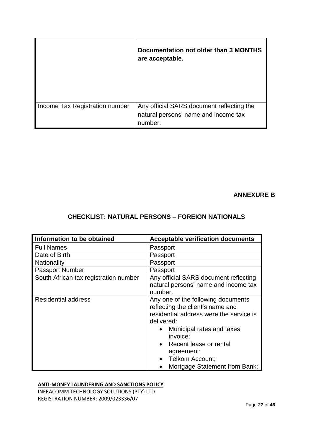|                                | Documentation not older than 3 MONTHS<br>are acceptable.                                     |
|--------------------------------|----------------------------------------------------------------------------------------------|
| Income Tax Registration number | Any official SARS document reflecting the<br>natural persons' name and income tax<br>number. |

## **ANNEXURE B**

## **CHECKLIST: NATURAL PERSONS – FOREIGN NATIONALS**

| Information to be obtained            | <b>Acceptable verification documents</b> |
|---------------------------------------|------------------------------------------|
| <b>Full Names</b>                     | Passport                                 |
| Date of Birth                         | Passport                                 |
| Nationality                           | Passport                                 |
| <b>Passport Number</b>                | Passport                                 |
| South African tax registration number | Any official SARS document reflecting    |
|                                       | natural persons' name and income tax     |
|                                       | number.                                  |
| <b>Residential address</b>            | Any one of the following documents       |
|                                       | reflecting the client's name and         |
|                                       | residential address were the service is  |
|                                       | delivered:                               |
|                                       | Municipal rates and taxes<br>$\bullet$   |
|                                       | invoice;                                 |
|                                       | Recent lease or rental                   |
|                                       | agreement;                               |
|                                       | Telkom Account;                          |
|                                       | Mortgage Statement from Bank:            |

#### **ANTI-MONEY LAUNDERING AND SANCTIONS POLICY**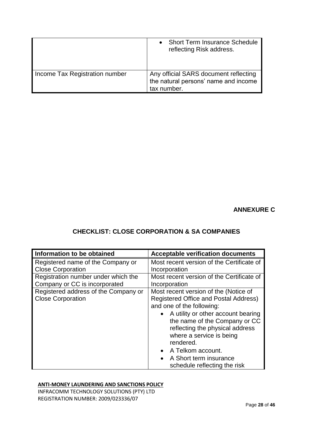|                                | <b>Short Term Insurance Schedule</b><br>reflecting Risk address.                             |
|--------------------------------|----------------------------------------------------------------------------------------------|
| Income Tax Registration number | Any official SARS document reflecting<br>the natural persons' name and income<br>tax number. |

**ANNEXURE C**

## **CHECKLIST: CLOSE CORPORATION & SA COMPANIES**

| Information to be obtained                                           | <b>Acceptable verification documents</b>                                                                                                                                                                                                                                                                                                                                |
|----------------------------------------------------------------------|-------------------------------------------------------------------------------------------------------------------------------------------------------------------------------------------------------------------------------------------------------------------------------------------------------------------------------------------------------------------------|
| Registered name of the Company or                                    | Most recent version of the Certificate of                                                                                                                                                                                                                                                                                                                               |
| <b>Close Corporation</b>                                             | Incorporation                                                                                                                                                                                                                                                                                                                                                           |
| Registration number under which the<br>Company or CC is incorporated | Most recent version of the Certificate of<br>Incorporation                                                                                                                                                                                                                                                                                                              |
| Registered address of the Company or<br><b>Close Corporation</b>     | Most recent version of the (Notice of<br>Registered Office and Postal Address)<br>and one of the following:<br>A utility or other account bearing<br>the name of the Company or CC<br>reflecting the physical address<br>where a service is being<br>rendered.<br>A Telkom account.<br>$\bullet$<br>A Short term insurance<br>$\bullet$<br>schedule reflecting the risk |

#### **ANTI-MONEY LAUNDERING AND SANCTIONS POLICY**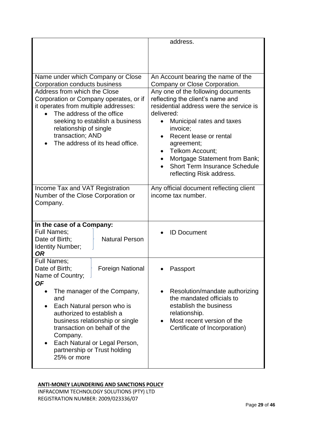|                                                                                                                                                                                                                                                                                        | address.                                                                                                                                                                                                                                                                                                                                      |
|----------------------------------------------------------------------------------------------------------------------------------------------------------------------------------------------------------------------------------------------------------------------------------------|-----------------------------------------------------------------------------------------------------------------------------------------------------------------------------------------------------------------------------------------------------------------------------------------------------------------------------------------------|
| Name under which Company or Close<br>Corporation conducts business                                                                                                                                                                                                                     | An Account bearing the name of the<br>Company or Close Corporation.                                                                                                                                                                                                                                                                           |
| Address from which the Close<br>Corporation or Company operates, or if<br>it operates from multiple addresses:<br>The address of the office<br>seeking to establish a business<br>relationship of single<br>transaction; AND<br>The address of its head office.                        | Any one of the following documents<br>reflecting the client's name and<br>residential address were the service is<br>delivered:<br>Municipal rates and taxes<br>invoice;<br>Recent lease or rental<br>agreement;<br>Telkom Account;<br>Mortgage Statement from Bank;<br>٠<br><b>Short Term Insurance Schedule</b><br>reflecting Risk address. |
| Income Tax and VAT Registration<br>Number of the Close Corporation or<br>Company.                                                                                                                                                                                                      | Any official document reflecting client<br>income tax number.                                                                                                                                                                                                                                                                                 |
| In the case of a Company:<br><b>Full Names;</b><br>Date of Birth;<br><b>Natural Person</b><br>Identity Number;<br><b>OR</b>                                                                                                                                                            | <b>ID Document</b>                                                                                                                                                                                                                                                                                                                            |
| Full Names;<br>Date of Birth;<br><b>Foreign National</b><br>Name of Country;<br><b>OF</b>                                                                                                                                                                                              | Passport                                                                                                                                                                                                                                                                                                                                      |
| The manager of the Company,<br>$\bullet$<br>and<br>Each Natural person who is<br>$\bullet$<br>authorized to establish a<br>business relationship or single<br>transaction on behalf of the<br>Company.<br>Each Natural or Legal Person,<br>partnership or Trust holding<br>25% or more | Resolution/mandate authorizing<br>$\bullet$<br>the mandated officials to<br>establish the business<br>relationship.<br>Most recent version of the<br>Certificate of Incorporation)                                                                                                                                                            |

#### **ANTI-MONEY LAUNDERING AND SANCTIONS POLICY**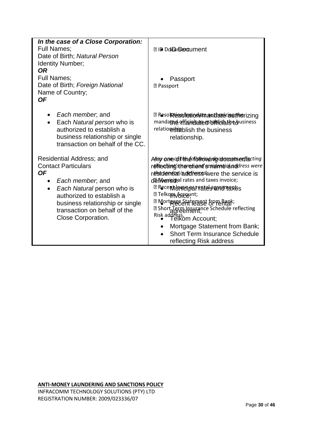| In the case of a Close Corporation:<br><b>Full Names:</b><br>Date of Birth; Natural Person                                                                                                                                           | <b>210 Dolphbrodument</b>                                                                                                                                                                                                                                                                                                                                                                                                                                                                          |
|--------------------------------------------------------------------------------------------------------------------------------------------------------------------------------------------------------------------------------------|----------------------------------------------------------------------------------------------------------------------------------------------------------------------------------------------------------------------------------------------------------------------------------------------------------------------------------------------------------------------------------------------------------------------------------------------------------------------------------------------------|
| Identity Number;<br><b>OR</b><br><b>Full Names:</b><br>Date of Birth; Foreign National<br>Name of Country;<br><b>OF</b>                                                                                                              | Passport<br><b>图 Passport</b>                                                                                                                                                                                                                                                                                                                                                                                                                                                                      |
| Each member, and<br>Each Natural person who is<br>authorized to establish a<br>business relationship or single<br>transaction on behalf of the CC.                                                                                   | <b>¤</b> Resol <b>Rtego/munchata.ant bettere independent</b><br>mandathe offerndate estamishale edusiness<br>relatiorshighlish the business<br>relationship.                                                                                                                                                                                                                                                                                                                                       |
| Residential Address; and<br><b>Contact Particulars</b><br>ΟF<br>Each member, and<br>Each Natural person who is<br>authorized to establish a<br>business relationship or single<br>transaction on behalf of the<br>Close Corporation. | Any one of the follow indigator enterties ing<br>reflectimgshereient sepidentichnedeness were<br>residented addiress were the service is<br>del Werisinal rates and taxes invoice;<br><b>Z Recent (GRIGGAT PATE) SURFIPIBRES</b><br><b>77 Telkom Agregunt;</b><br><sup>2</sup> Mort Recent Fease & Prehight;<br>a Short Term Insurance Schedule reflecting<br>Risk address.<br>Felkom Account;<br>Mortgage Statement from Bank;<br><b>Short Term Insurance Schedule</b><br>reflecting Risk address |

**ANTI-MONEY LAUNDERING AND SANCTIONS POLICY** INFRACOMM TECHNOLOGY SOLUTIONS (PTY) LTD

REGISTRATION NUMBER: 2009/023336/07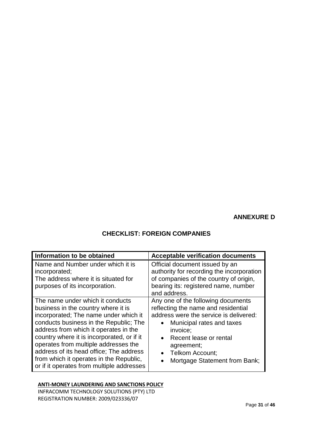## **ANNEXURE D**

# **CHECKLIST: FOREIGN COMPANIES**

| Information to be obtained                                                                                                                                                                                                                                                                                                                                                                                                   | <b>Acceptable verification documents</b>                                                                                                                                                                                                                              |
|------------------------------------------------------------------------------------------------------------------------------------------------------------------------------------------------------------------------------------------------------------------------------------------------------------------------------------------------------------------------------------------------------------------------------|-----------------------------------------------------------------------------------------------------------------------------------------------------------------------------------------------------------------------------------------------------------------------|
| Name and Number under which it is<br>incorporated;<br>The address where it is situated for<br>purposes of its incorporation.                                                                                                                                                                                                                                                                                                 | Official document issued by an<br>authority for recording the incorporation<br>of companies of the country of origin,<br>bearing its: registered name, number<br>and address.                                                                                         |
| The name under which it conducts<br>business in the country where it is<br>incorporated; The name under which it<br>conducts business in the Republic; The<br>address from which it operates in the<br>country where it is incorporated, or if it<br>operates from multiple addresses the<br>address of its head office; The address<br>from which it operates in the Republic,<br>or if it operates from multiple addresses | Any one of the following documents<br>reflecting the name and residential<br>address were the service is delivered:<br>Municipal rates and taxes<br>invoice;<br>Recent lease or rental<br>$\bullet$<br>agreement;<br>Telkom Account;<br>Mortgage Statement from Bank; |

#### **ANTI-MONEY LAUNDERING AND SANCTIONS POLICY**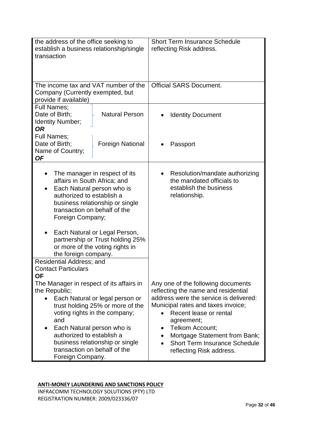| the address of the office seeking to<br>establish a business relationship/single<br>transaction                                                                                                                                                                                                                                                                             | <b>Short Term Insurance Schedule</b><br>reflecting Risk address.                                                                                                                                                                                                                                                                            |
|-----------------------------------------------------------------------------------------------------------------------------------------------------------------------------------------------------------------------------------------------------------------------------------------------------------------------------------------------------------------------------|---------------------------------------------------------------------------------------------------------------------------------------------------------------------------------------------------------------------------------------------------------------------------------------------------------------------------------------------|
| The income tax and VAT number of the<br>Company (Currently exempted, but<br>provide if available)                                                                                                                                                                                                                                                                           | <b>Official SARS Document.</b>                                                                                                                                                                                                                                                                                                              |
| <b>Full Names:</b><br>Date of Birth;<br><b>Natural Person</b><br>Identity Number;<br><b>OR</b>                                                                                                                                                                                                                                                                              | <b>Identity Document</b>                                                                                                                                                                                                                                                                                                                    |
| Full Names;<br>Date of Birth;<br><b>Foreign National</b><br>Name of Country;<br><b>OF</b>                                                                                                                                                                                                                                                                                   | Passport                                                                                                                                                                                                                                                                                                                                    |
| The manager in respect of its<br>affairs in South Africa; and<br>Each Natural person who is<br>authorized to establish a<br>business relationship or single<br>transaction on behalf of the<br>Foreign Company;<br>Each Natural or Legal Person,<br>partnership or Trust holding 25%<br>or more of the voting rights in<br>the foreign company.<br>Residential Address; and | Resolution/mandate authorizing<br>the mandated officials to<br>establish the business<br>relationship.                                                                                                                                                                                                                                      |
| <b>Contact Particulars</b><br><b>OF</b>                                                                                                                                                                                                                                                                                                                                     |                                                                                                                                                                                                                                                                                                                                             |
| The Manager in respect of its affairs in<br>the Republic;<br>Each Natural or legal person or<br>trust holding 25% or more of the<br>voting rights in the company;<br>and<br>Each Natural person who is<br>$\bullet$<br>authorized to establish a<br>business relationship or single<br>transaction on behalf of the<br>Foreign Company.                                     | Any one of the following documents<br>reflecting the name and residential<br>address were the service is delivered:<br>Municipal rates and taxes invoice;<br>Recent lease or rental<br>agreement;<br>Telkom Account;<br>٠<br>Mortgage Statement from Bank;<br>$\bullet$<br><b>Short Term Insurance Schedule</b><br>reflecting Risk address. |

#### **ANTI-MONEY LAUNDERING AND SANCTIONS POLICY**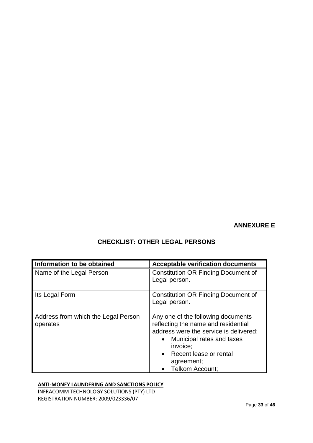## **ANNEXURE E**

| Information to be obtained                      | <b>Acceptable verification documents</b>                                                                                                                                                                                                 |
|-------------------------------------------------|------------------------------------------------------------------------------------------------------------------------------------------------------------------------------------------------------------------------------------------|
| Name of the Legal Person                        | <b>Constitution OR Finding Document of</b><br>Legal person.                                                                                                                                                                              |
| Its Legal Form                                  | <b>Constitution OR Finding Document of</b><br>Legal person.                                                                                                                                                                              |
| Address from which the Legal Person<br>operates | Any one of the following documents<br>reflecting the name and residential<br>address were the service is delivered:<br>Municipal rates and taxes<br>$\bullet$<br>invoice:<br>• Recent lease or rental<br>agreement;<br>• Telkom Account; |

# **CHECKLIST: OTHER LEGAL PERSONS**

#### **ANTI-MONEY LAUNDERING AND SANCTIONS POLICY**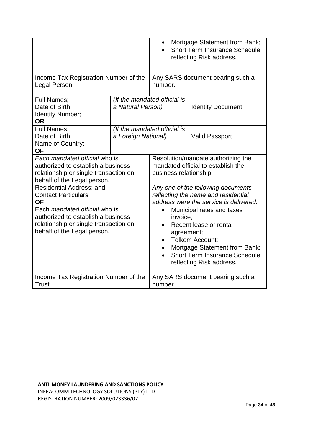|                                                                                                                                                                                                                                  |                     | Mortgage Statement from Bank;<br><b>Short Term Insurance Schedule</b><br>reflecting Risk address.                                                                                                                                                                                                                            |                                  |
|----------------------------------------------------------------------------------------------------------------------------------------------------------------------------------------------------------------------------------|---------------------|------------------------------------------------------------------------------------------------------------------------------------------------------------------------------------------------------------------------------------------------------------------------------------------------------------------------------|----------------------------------|
| Income Tax Registration Number of the<br><b>Legal Person</b>                                                                                                                                                                     |                     | number.                                                                                                                                                                                                                                                                                                                      | Any SARS document bearing such a |
| <b>Full Names;</b><br>Date of Birth;<br>Identity Number;<br><b>OR</b>                                                                                                                                                            | a Natural Person)   | (If the mandated official is                                                                                                                                                                                                                                                                                                 | <b>Identity Document</b>         |
| <b>Full Names:</b><br>Date of Birth;<br>Name of Country;<br><b>OF</b>                                                                                                                                                            | a Foreign National) | (If the mandated official is                                                                                                                                                                                                                                                                                                 | <b>Valid Passport</b>            |
| Each mandated official who is<br>authorized to establish a business<br>relationship or single transaction on<br>behalf of the Legal person.                                                                                      |                     | Resolution/mandate authorizing the<br>mandated official to establish the<br>business relationship.                                                                                                                                                                                                                           |                                  |
| <b>Residential Address; and</b><br><b>Contact Particulars</b><br><b>OF</b><br>Each <i>mandated official</i> who is<br>authorized to establish a business<br>relationship or single transaction on<br>behalf of the Legal person. |                     | Any one of the following documents<br>reflecting the name and residential<br>address were the service is delivered:<br>Municipal rates and taxes<br>invoice:<br>Recent lease or rental<br>agreement;<br>Telkom Account;<br>Mortgage Statement from Bank;<br><b>Short Term Insurance Schedule</b><br>reflecting Risk address. |                                  |
| Income Tax Registration Number of the<br><b>Trust</b>                                                                                                                                                                            |                     | Any SARS document bearing such a<br>number.                                                                                                                                                                                                                                                                                  |                                  |

**ANTI-MONEY LAUNDERING AND SANCTIONS POLICY**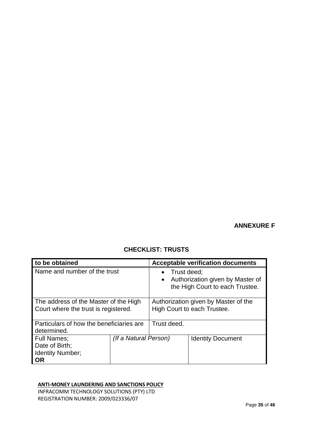## **ANNEXURE F**

# **CHECKLIST: TRUSTS**

| to be obtained                                                                |                       |                                                                                                 | <b>Acceptable verification documents</b> |
|-------------------------------------------------------------------------------|-----------------------|-------------------------------------------------------------------------------------------------|------------------------------------------|
| Name and number of the trust                                                  |                       | Trust deed;<br>Authorization given by Master of<br>$\bullet$<br>the High Court to each Trustee. |                                          |
| The address of the Master of the High<br>Court where the trust is registered. |                       | Authorization given by Master of the<br>High Court to each Trustee.                             |                                          |
| Particulars of how the beneficiaries are<br>determined.                       |                       | Trust deed.                                                                                     |                                          |
| <b>Full Names;</b><br>Date of Birth;<br>Identity Number;<br><b>OR</b>         | (If a Natural Person) |                                                                                                 | <b>Identity Document</b>                 |

#### **ANTI-MONEY LAUNDERING AND SANCTIONS POLICY**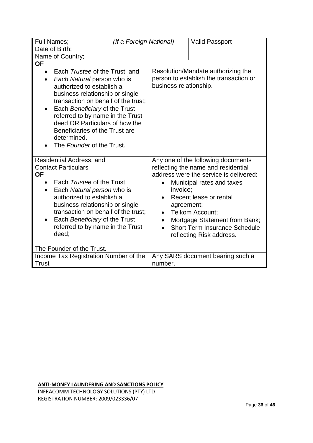| <b>Full Names;</b><br>Date of Birth;                                                                                                                                                                                                                                                                                                                                                                   | (If a Foreign National) |                                                                                                                                                                                                                                                                                                                                                        | <b>Valid Passport</b> |
|--------------------------------------------------------------------------------------------------------------------------------------------------------------------------------------------------------------------------------------------------------------------------------------------------------------------------------------------------------------------------------------------------------|-------------------------|--------------------------------------------------------------------------------------------------------------------------------------------------------------------------------------------------------------------------------------------------------------------------------------------------------------------------------------------------------|-----------------------|
| Name of Country;<br><b>OF</b><br>Each Trustee of the Trust; and<br>Each Natural person who is<br>$\bullet$<br>authorized to establish a<br>business relationship or single<br>transaction on behalf of the trust:<br>Each Beneficiary of the Trust<br>referred to by name in the Trust<br>deed OR Particulars of how the<br>Beneficiaries of the Trust are<br>determined.<br>The Founder of the Trust. |                         | Resolution/Mandate authorizing the<br>person to establish the transaction or<br>business relationship.                                                                                                                                                                                                                                                 |                       |
| Residential Address, and<br><b>Contact Particulars</b><br><b>OF</b><br>Each Trustee of the Trust;<br>Each Natural person who is<br>$\bullet$<br>authorized to establish a<br>business relationship or single<br>transaction on behalf of the trust;<br>Each Beneficiary of the Trust<br>referred to by name in the Trust<br>deed;                                                                      |                         | Any one of the following documents<br>reflecting the name and residential<br>address were the service is delivered:<br>Municipal rates and taxes<br>invoice;<br>Recent lease or rental<br>agreement;<br>Telkom Account;<br>$\bullet$<br>Mortgage Statement from Bank;<br><b>Short Term Insurance Schedule</b><br>$\bullet$<br>reflecting Risk address. |                       |
| The Founder of the Trust.                                                                                                                                                                                                                                                                                                                                                                              |                         |                                                                                                                                                                                                                                                                                                                                                        |                       |
| Income Tax Registration Number of the<br>Trust                                                                                                                                                                                                                                                                                                                                                         |                         | Any SARS document bearing such a<br>number.                                                                                                                                                                                                                                                                                                            |                       |

**ANTI-MONEY LAUNDERING AND SANCTIONS POLICY**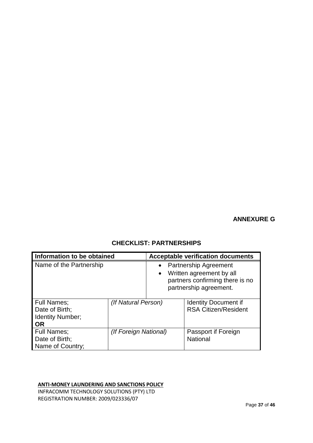## **ANNEXURE G**

| Information to be obtained                                     |                       | <b>Acceptable verification documents</b>                                                                                                        |                                                            |  |
|----------------------------------------------------------------|-----------------------|-------------------------------------------------------------------------------------------------------------------------------------------------|------------------------------------------------------------|--|
| Name of the Partnership                                        |                       | <b>Partnership Agreement</b><br>$\bullet$<br>Written agreement by all<br>$\bullet$<br>partners confirming there is no<br>partnership agreement. |                                                            |  |
| Full Names;<br>Date of Birth;<br>Identity Number;<br><b>OR</b> | (If Natural Person)   |                                                                                                                                                 | <b>Identity Document if</b><br><b>RSA Citizen/Resident</b> |  |
| <b>Full Names;</b><br>Date of Birth;<br>Name of Country;       | (If Foreign National) |                                                                                                                                                 | Passport if Foreign<br><b>National</b>                     |  |

## **CHECKLIST: PARTNERSHIPS**

**ANTI-MONEY LAUNDERING AND SANCTIONS POLICY**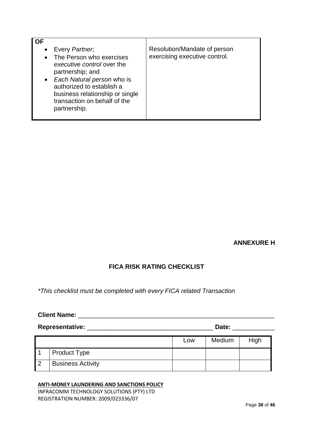| ΩF                                                                                                                                                                                                                                             |                                                               |
|------------------------------------------------------------------------------------------------------------------------------------------------------------------------------------------------------------------------------------------------|---------------------------------------------------------------|
| • Every Partner,<br>The Person who exercises<br>executive control over the<br>partnership; and<br>• Each Natural person who is<br>authorized to establish a<br>business relationship or single<br>transaction on behalf of the<br>partnership. | Resolution/Mandate of person<br>exercising executive control. |

#### **ANNEXURE H**

## **FICA RISK RATING CHECKLIST**

*\*This checklist must be completed with every FICA related Transaction*

### **Client Name:** \_\_\_\_\_\_\_\_\_\_\_\_\_\_\_\_\_\_\_\_\_\_\_\_\_\_\_\_\_\_\_\_\_\_\_\_\_\_\_\_\_\_\_\_\_\_\_\_\_\_\_\_\_\_\_\_

**Representative:** \_\_\_\_\_\_\_\_\_\_\_\_\_\_\_\_\_\_\_\_\_\_\_\_\_\_\_\_\_\_\_\_\_\_\_\_ **Date:** \_\_\_\_\_\_\_\_\_\_\_\_

|                          | Low | Medium | High |
|--------------------------|-----|--------|------|
| <b>Product Type</b>      |     |        |      |
| <b>Business Activity</b> |     |        |      |

#### **ANTI-MONEY LAUNDERING AND SANCTIONS POLICY**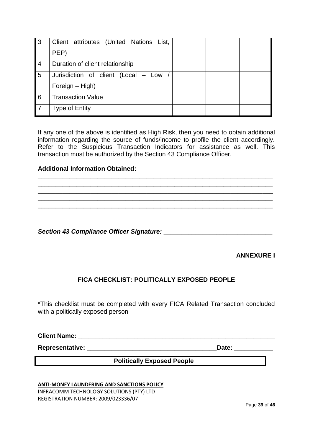| 3 | Client attributes (United Nations List,<br>PEP) |  |  |
|---|-------------------------------------------------|--|--|
| 4 | Duration of client relationship                 |  |  |
| 5 | Jurisdiction of client (Local - Low /           |  |  |
|   | Foreign - High)                                 |  |  |
| 6 | <b>Transaction Value</b>                        |  |  |
|   | <b>Type of Entity</b>                           |  |  |

If any one of the above is identified as High Risk, then you need to obtain additional information regarding the source of funds/income to profile the client accordingly. Refer to the Suspicious Transaction Indicators for assistance as well. This transaction must be authorized by the Section 43 Compliance Officer.

\_\_\_\_\_\_\_\_\_\_\_\_\_\_\_\_\_\_\_\_\_\_\_\_\_\_\_\_\_\_\_\_\_\_\_\_\_\_\_\_\_\_\_\_\_\_\_\_\_\_\_\_\_\_\_\_\_\_\_\_\_\_\_\_\_\_\_ \_\_\_\_\_\_\_\_\_\_\_\_\_\_\_\_\_\_\_\_\_\_\_\_\_\_\_\_\_\_\_\_\_\_\_\_\_\_\_\_\_\_\_\_\_\_\_\_\_\_\_\_\_\_\_\_\_\_\_\_\_\_\_\_\_\_\_

 $\_$  ,  $\_$  ,  $\_$  ,  $\_$  ,  $\_$  ,  $\_$  ,  $\_$  ,  $\_$  ,  $\_$  ,  $\_$  ,  $\_$  ,  $\_$  ,  $\_$  ,  $\_$  ,  $\_$  ,  $\_$  ,  $\_$  ,  $\_$  ,  $\_$  ,  $\_$  ,  $\_$  ,  $\_$  ,  $\_$  ,  $\_$  ,  $\_$  ,  $\_$  ,  $\_$  ,  $\_$  ,  $\_$  ,  $\_$  ,  $\_$  ,  $\_$  ,  $\_$  ,  $\_$  ,  $\_$  ,  $\_$  ,  $\_$  , \_\_\_\_\_\_\_\_\_\_\_\_\_\_\_\_\_\_\_\_\_\_\_\_\_\_\_\_\_\_\_\_\_\_\_\_\_\_\_\_\_\_\_\_\_\_\_\_\_\_\_\_\_\_\_\_\_\_\_\_\_\_\_\_\_\_\_ \_\_\_\_\_\_\_\_\_\_\_\_\_\_\_\_\_\_\_\_\_\_\_\_\_\_\_\_\_\_\_\_\_\_\_\_\_\_\_\_\_\_\_\_\_\_\_\_\_\_\_\_\_\_\_\_\_\_\_\_\_\_\_\_\_\_\_

#### **Additional Information Obtained:**

**Section 43 Compliance Officer Signature:** *Parameters Parameters* **<b>***Parameters Parameters* 

**ANNEXURE I**

#### **FICA CHECKLIST: POLITICALLY EXPOSED PEOPLE**

\*This checklist must be completed with every FICA Related Transaction concluded with a politically exposed person

**Client Name:** \_\_\_\_\_\_\_\_\_\_\_\_\_\_\_\_\_\_\_\_\_\_\_\_\_\_\_\_\_\_\_\_\_\_\_\_\_\_\_\_\_\_\_\_\_\_\_\_\_\_\_\_\_\_\_\_

**Representative:** \_\_\_\_\_\_\_\_\_\_\_\_\_\_\_\_\_\_\_\_\_\_\_\_\_\_\_\_\_\_\_\_\_\_\_\_\_**Date:** \_\_\_\_\_\_\_\_\_\_\_

**Politically Exposed People**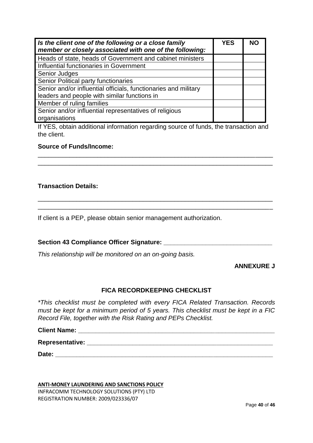| Is the client one of the following or a close family<br>member or closely associated with one of the following: |  | NC. |
|-----------------------------------------------------------------------------------------------------------------|--|-----|
| Heads of state, heads of Government and cabinet ministers                                                       |  |     |
| Influential functionaries in Government                                                                         |  |     |
| Senior Judges                                                                                                   |  |     |
| Senior Political party functionaries                                                                            |  |     |
| Senior and/or influential officials, functionaries and military                                                 |  |     |
| leaders and people with similar functions in                                                                    |  |     |
| Member of ruling families                                                                                       |  |     |
| Senior and/or influential representatives of religious                                                          |  |     |
| organisations                                                                                                   |  |     |

If YES, obtain additional information regarding source of funds, the transaction and the client.

\_\_\_\_\_\_\_\_\_\_\_\_\_\_\_\_\_\_\_\_\_\_\_\_\_\_\_\_\_\_\_\_\_\_\_\_\_\_\_\_\_\_\_\_\_\_\_\_\_\_\_\_\_\_\_\_\_\_\_\_\_\_\_\_\_\_\_ \_\_\_\_\_\_\_\_\_\_\_\_\_\_\_\_\_\_\_\_\_\_\_\_\_\_\_\_\_\_\_\_\_\_\_\_\_\_\_\_\_\_\_\_\_\_\_\_\_\_\_\_\_\_\_\_\_\_\_\_\_\_\_\_\_\_\_

\_\_\_\_\_\_\_\_\_\_\_\_\_\_\_\_\_\_\_\_\_\_\_\_\_\_\_\_\_\_\_\_\_\_\_\_\_\_\_\_\_\_\_\_\_\_\_\_\_\_\_\_\_\_\_\_\_\_\_\_\_\_\_\_\_\_\_ \_\_\_\_\_\_\_\_\_\_\_\_\_\_\_\_\_\_\_\_\_\_\_\_\_\_\_\_\_\_\_\_\_\_\_\_\_\_\_\_\_\_\_\_\_\_\_\_\_\_\_\_\_\_\_\_\_\_\_\_\_\_\_\_\_\_\_

#### **Source of Funds/Income:**

#### **Transaction Details:**

If client is a PEP, please obtain senior management authorization.

#### **Section 43 Compliance Officer Signature: \_\_\_\_\_\_\_\_\_\_\_\_\_\_\_\_\_\_\_\_\_\_\_\_\_\_\_\_\_\_\_**

*This relationship will be monitored on an on-going basis.*

#### **ANNEXURE J**

#### **FICA RECORDKEEPING CHECKLIST**

*\*This checklist must be completed with every FICA Related Transaction. Records must be kept for a minimum period of 5 years. This checklist must be kept in a FIC Record File, together with the Risk Rating and PEPs Checklist.*

**Client Name: \_\_\_\_\_\_\_\_\_\_\_\_\_\_\_\_\_\_\_\_\_\_\_\_\_\_\_\_\_\_\_\_\_\_\_\_\_\_\_\_\_\_\_\_\_\_\_\_\_\_\_\_\_\_\_\_**

**Representative: \_\_\_\_\_\_\_\_\_\_\_\_\_\_\_\_\_\_\_\_\_\_\_\_\_\_\_\_\_\_\_\_\_\_\_\_\_\_\_\_\_\_\_\_\_\_\_\_\_\_\_\_\_**

**Date: \_\_\_\_\_\_\_\_\_\_\_\_\_\_\_\_\_\_\_\_\_\_\_\_\_\_\_\_\_\_\_\_\_\_\_\_\_\_\_\_\_\_\_\_\_\_\_\_\_\_\_\_\_\_\_\_\_\_\_\_\_\_**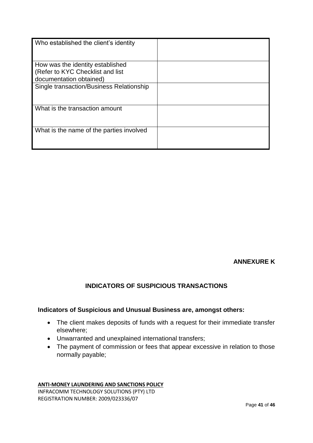| Who established the client's identity    |  |
|------------------------------------------|--|
| How was the identity established         |  |
| (Refer to KYC Checklist and list         |  |
| documentation obtained)                  |  |
| Single transaction/Business Relationship |  |
| What is the transaction amount           |  |
| What is the name of the parties involved |  |

**ANNEXURE K**

## **INDICATORS OF SUSPICIOUS TRANSACTIONS**

# **Indicators of Suspicious and Unusual Business are, amongst others:**

- The client makes deposits of funds with a request for their immediate transfer elsewhere;
- Unwarranted and unexplained international transfers;
- The payment of commission or fees that appear excessive in relation to those normally payable;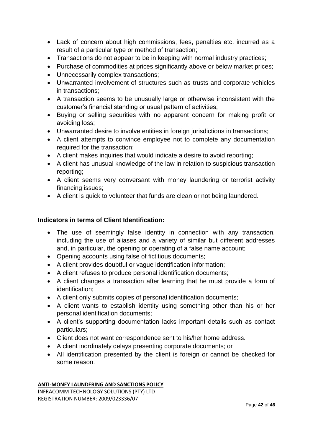- Lack of concern about high commissions, fees, penalties etc. incurred as a result of a particular type or method of transaction;
- Transactions do not appear to be in keeping with normal industry practices;
- Purchase of commodities at prices significantly above or below market prices;
- Unnecessarily complex transactions;
- Unwarranted involvement of structures such as trusts and corporate vehicles in transactions;
- A transaction seems to be unusually large or otherwise inconsistent with the customer's financial standing or usual pattern of activities;
- Buying or selling securities with no apparent concern for making profit or avoiding loss;
- Unwarranted desire to involve entities in foreign jurisdictions in transactions;
- A client attempts to convince employee not to complete any documentation required for the transaction;
- A client makes inquiries that would indicate a desire to avoid reporting;
- A client has unusual knowledge of the law in relation to suspicious transaction reporting;
- A client seems very conversant with money laundering or terrorist activity financing issues;
- A client is quick to volunteer that funds are clean or not being laundered.

## **Indicators in terms of Client Identification:**

- The use of seemingly false identity in connection with any transaction, including the use of aliases and a variety of similar but different addresses and, in particular, the opening or operating of a false name account;
- Opening accounts using false of fictitious documents;
- A client provides doubtful or vague identification information;
- A client refuses to produce personal identification documents;
- A client changes a transaction after learning that he must provide a form of identification;
- A client only submits copies of personal identification documents;
- A client wants to establish identity using something other than his or her personal identification documents;
- A client's supporting documentation lacks important details such as contact particulars;
- Client does not want correspondence sent to his/her home address.
- A client inordinately delays presenting corporate documents; or
- All identification presented by the client is foreign or cannot be checked for some reason.

#### **ANTI-MONEY LAUNDERING AND SANCTIONS POLICY**